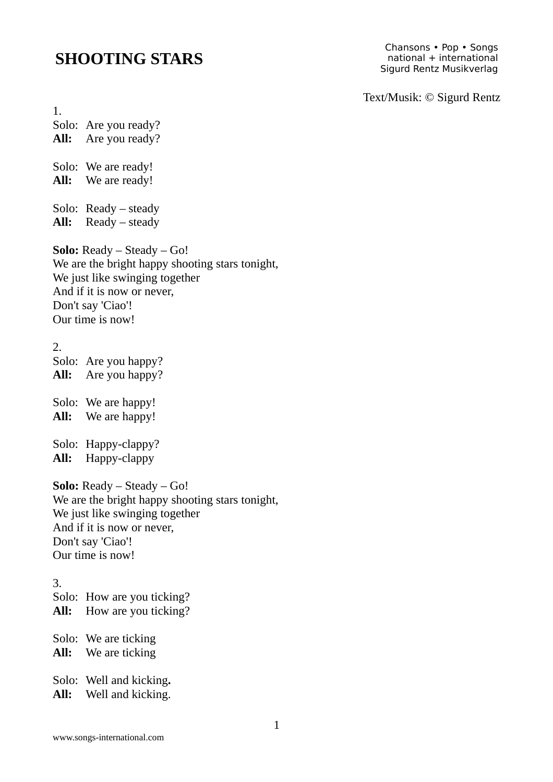## **SHOOTING STARS**

Chansons • Pop • Songs national + international Sigurd Rentz Musikverlag

Text/Musik: © Sigurd Rentz

1. Solo: Are you ready? **All:** Are you ready? Solo: We are ready! **All:** We are ready! Solo: Ready – steady **All:** Ready – steady **Solo:** Ready – Steady – Go! We are the bright happy shooting stars tonight, We just like swinging together And if it is now or never, Don't say 'Ciao'! Our time is now! 2. Solo: Are you happy? **All:** Are you happy? Solo: We are happy! **All:** We are happy! Solo: Happy-clappy? **All:** Happy-clappy **Solo:** Ready – Steady – Go! We are the bright happy shooting stars tonight, We just like swinging together And if it is now or never, Don't say 'Ciao'! Our time is now! 3. Solo: How are you ticking? **All:** How are you ticking? Solo: We are ticking **All:** We are ticking Solo: Well and kicking**.**

**All:** Well and kicking.